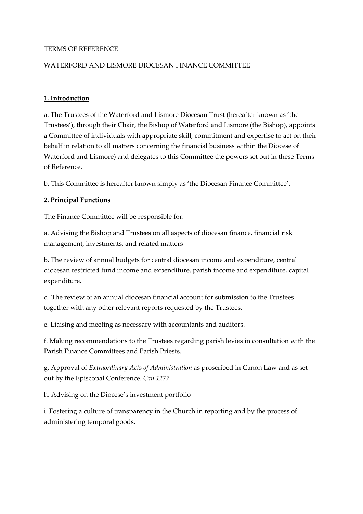# TERMS OF REFERENCE

## WATERFORD AND LISMORE DIOCESAN FINANCE COMMITTEE

# **1. Introduction**

a. The Trustees of the Waterford and Lismore Diocesan Trust (hereafter known as 'the Trustees'), through their Chair, the Bishop of Waterford and Lismore (the Bishop), appoints a Committee of individuals with appropriate skill, commitment and expertise to act on their behalf in relation to all matters concerning the financial business within the Diocese of Waterford and Lismore) and delegates to this Committee the powers set out in these Terms of Reference.

b. This Committee is hereafter known simply as 'the Diocesan Finance Committee'.

## **2. Principal Functions**

The Finance Committee will be responsible for:

a. Advising the Bishop and Trustees on all aspects of diocesan finance, financial risk management, investments, and related matters

b. The review of annual budgets for central diocesan income and expenditure, central diocesan restricted fund income and expenditure, parish income and expenditure, capital expenditure.

d. The review of an annual diocesan financial account for submission to the Trustees together with any other relevant reports requested by the Trustees.

e. Liaising and meeting as necessary with accountants and auditors.

f. Making recommendations to the Trustees regarding parish levies in consultation with the Parish Finance Committees and Parish Priests.

g. Approval of *Extraordinary Acts of Administration* as proscribed in Canon Law and as set out by the Episcopal Conference. *Can.1277*

h. Advising on the Diocese's investment portfolio

i. Fostering a culture of transparency in the Church in reporting and by the process of administering temporal goods.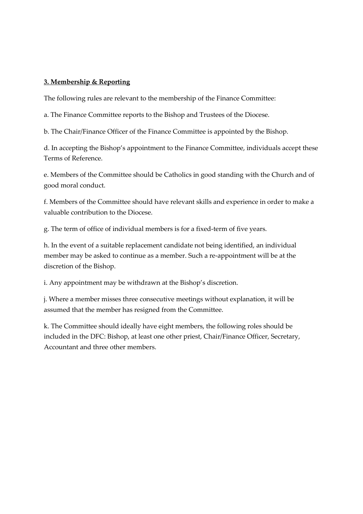# **3. Membership & Reporting**

The following rules are relevant to the membership of the Finance Committee:

a. The Finance Committee reports to the Bishop and Trustees of the Diocese.

b. The Chair/Finance Officer of the Finance Committee is appointed by the Bishop.

d. In accepting the Bishop's appointment to the Finance Committee, individuals accept these Terms of Reference.

e. Members of the Committee should be Catholics in good standing with the Church and of good moral conduct.

f. Members of the Committee should have relevant skills and experience in order to make a valuable contribution to the Diocese.

g. The term of office of individual members is for a fixed-term of five years.

h. In the event of a suitable replacement candidate not being identified, an individual member may be asked to continue as a member. Such a re-appointment will be at the discretion of the Bishop.

i. Any appointment may be withdrawn at the Bishop's discretion.

j. Where a member misses three consecutive meetings without explanation, it will be assumed that the member has resigned from the Committee.

k. The Committee should ideally have eight members, the following roles should be included in the DFC: Bishop, at least one other priest, Chair/Finance Officer, Secretary, Accountant and three other members.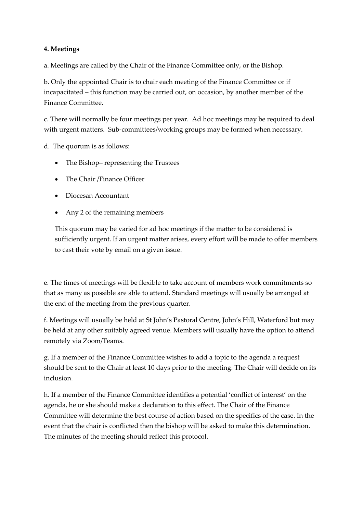# **4. Meetings**

a. Meetings are called by the Chair of the Finance Committee only, or the Bishop.

b. Only the appointed Chair is to chair each meeting of the Finance Committee or if incapacitated – this function may be carried out, on occasion, by another member of the Finance Committee.

c. There will normally be four meetings per year. Ad hoc meetings may be required to deal with urgent matters. Sub-committees/working groups may be formed when necessary.

d. The quorum is as follows:

- The Bishop– representing the Trustees
- The Chair /Finance Officer
- Diocesan Accountant
- Any 2 of the remaining members

This quorum may be varied for ad hoc meetings if the matter to be considered is sufficiently urgent. If an urgent matter arises, every effort will be made to offer members to cast their vote by email on a given issue.

e. The times of meetings will be flexible to take account of members work commitments so that as many as possible are able to attend. Standard meetings will usually be arranged at the end of the meeting from the previous quarter.

f. Meetings will usually be held at St John's Pastoral Centre, John's Hill, Waterford but may be held at any other suitably agreed venue. Members will usually have the option to attend remotely via Zoom/Teams.

g. If a member of the Finance Committee wishes to add a topic to the agenda a request should be sent to the Chair at least 10 days prior to the meeting. The Chair will decide on its inclusion.

h. If a member of the Finance Committee identifies a potential 'conflict of interest' on the agenda, he or she should make a declaration to this effect. The Chair of the Finance Committee will determine the best course of action based on the specifics of the case. In the event that the chair is conflicted then the bishop will be asked to make this determination. The minutes of the meeting should reflect this protocol.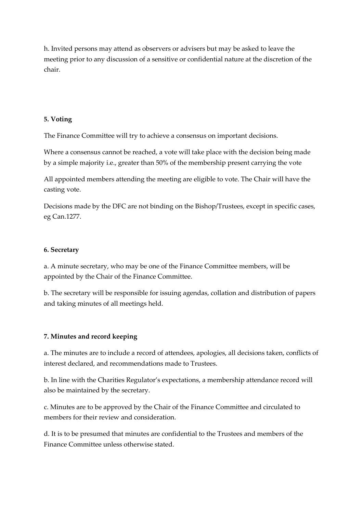h. Invited persons may attend as observers or advisers but may be asked to leave the meeting prior to any discussion of a sensitive or confidential nature at the discretion of the chair.

# **5. Voting**

The Finance Committee will try to achieve a consensus on important decisions.

Where a consensus cannot be reached, a vote will take place with the decision being made by a simple majority i.e., greater than 50% of the membership present carrying the vote

All appointed members attending the meeting are eligible to vote. The Chair will have the casting vote.

Decisions made by the DFC are not binding on the Bishop/Trustees, except in specific cases, eg Can.1277.

## **6. Secretary**

a. A minute secretary, who may be one of the Finance Committee members, will be appointed by the Chair of the Finance Committee.

b. The secretary will be responsible for issuing agendas, collation and distribution of papers and taking minutes of all meetings held.

# **7. Minutes and record keeping**

a. The minutes are to include a record of attendees, apologies, all decisions taken, conflicts of interest declared, and recommendations made to Trustees.

b. In line with the Charities Regulator's expectations, a membership attendance record will also be maintained by the secretary.

c. Minutes are to be approved by the Chair of the Finance Committee and circulated to members for their review and consideration.

d. It is to be presumed that minutes are confidential to the Trustees and members of the Finance Committee unless otherwise stated.